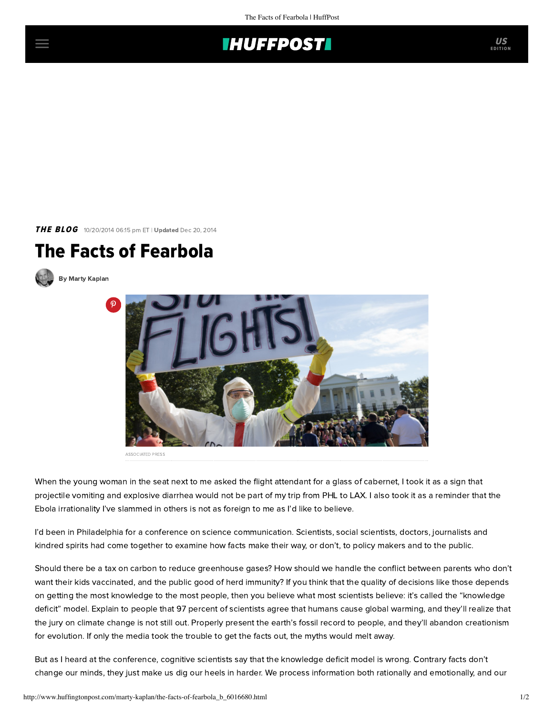

THE BLOG 10/20/2014 06:15 pm ET | Updated Dec 20, 2014

## The Facts of Fearbola





ASSOCIATED PRESS

When the young woman in the seat next to me asked the flight attendant for a glass of cabernet, I took it as a sign that projectile vomiting and explosive diarrhea would not be part of my trip from PHL to LAX. I also took it as a reminder that the Ebola irrationality I've slammed in others is not as foreign to me as I'd like to believe.

I'd been in Philadelphia fora [conference](http://www.annenbergpublicpolicycenter.org/annenberg-public-policy-center-to-study-science-of-science-communication/) on science communication. Scientists, social scientists, doctors, journalists and kindred spirits had come together to examine how facts make their way, or don't, to policy makers and to the public.

Should there be a tax on carbon to reduce greenhouse gases? How should we handle the conflict between parents who don't want their kids vaccinated, and the public good of herd immunity? If you think that the quality of decisions like those depends on getting the most knowledge to the most people, then you believe what most scientists believe: it's called the "knowledge deficit" model. Explain to people that 97 percent of scientists agree that humans cause global warming, and they'll realize that the jury on climate change is not still out. Properly present the earth's fossil record to people, and they'll abandon creationism for evolution. If only the media took the trouble to get the facts out, the myths would melt away.

But as I heard at the conference, cognitive scientists say that the knowledge deficit model is wrong. Contrary facts don't [change our minds, they just make us dig our heels in harder. We process information both rationally and emotionally, and](http://www.jewishjournal.com/marty_kaplan/article/most_depressing_brain_finding_ever) our